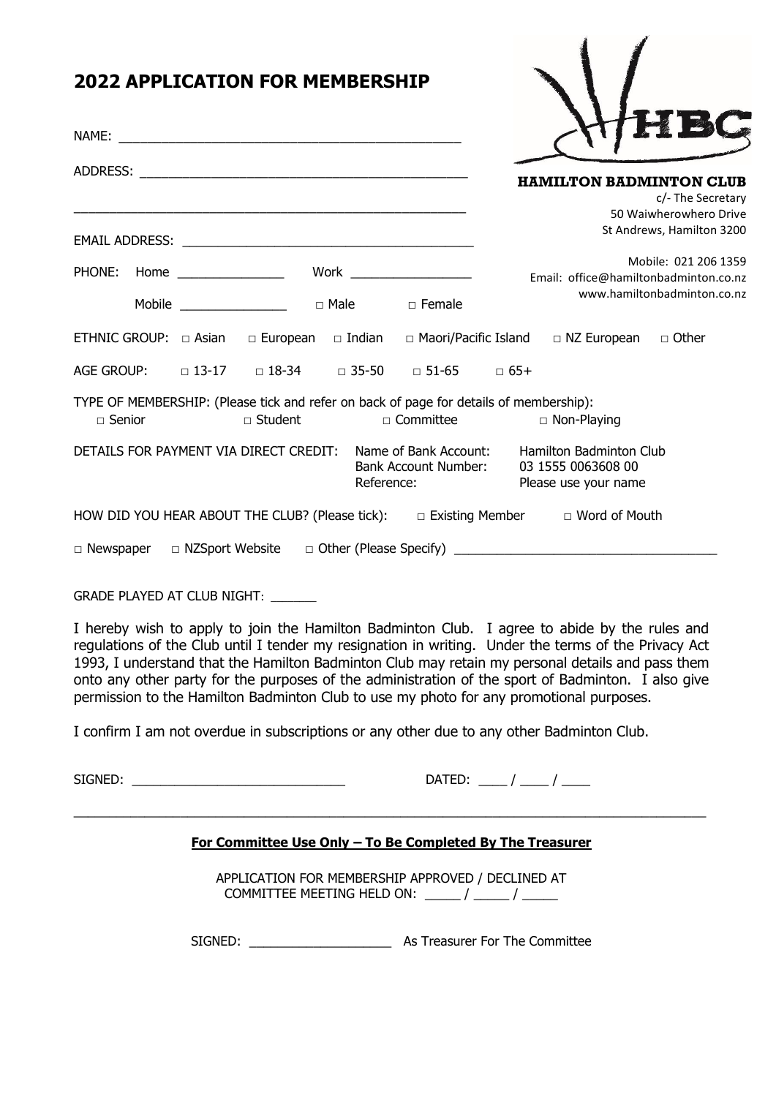|               | <b>2022 APPLICATION FOR MEMBERSHIP</b>                                                              |                                    |                                                                                                                      |
|---------------|-----------------------------------------------------------------------------------------------------|------------------------------------|----------------------------------------------------------------------------------------------------------------------|
|               |                                                                                                     |                                    |                                                                                                                      |
|               |                                                                                                     |                                    |                                                                                                                      |
|               |                                                                                                     |                                    | <b>HAMILTON BADMINTON CLUB</b><br>c/- The Secretary<br>50 Waiwherowhero Drive<br>St Andrews, Hamilton 3200           |
|               |                                                                                                     |                                    |                                                                                                                      |
| PHONE: Home   |                                                                                                     | Work $\_\_$                        | Mobile: 021 206 1359<br>Email: office@hamiltonbadminton.co.nz                                                        |
|               |                                                                                                     |                                    | www.hamiltonbadminton.co.nz                                                                                          |
|               |                                                                                                     |                                    | ETHNIC GROUP: $\Box$ Asian $\Box$ European $\Box$ Indian $\Box$ Maori/Pacific Island $\Box$ NZ European $\Box$ Other |
|               | AGE GROUP: □ 13-17 □ 18-34 □ 35-50 □ 51-65 □ 65+                                                    |                                    |                                                                                                                      |
| $\Box$ Senior | TYPE OF MEMBERSHIP: (Please tick and refer on back of page for details of membership):<br>□ Student |                                    | $\Box$ Committee $\Box$ Non-Playing                                                                                  |
|               | DETAILS FOR PAYMENT VIA DIRECT CREDIT: Name of Bank Account:                                        | Bank Account Number:<br>Reference: | <b>Hamilton Badminton Club</b><br>03 1555 0063608 00<br>Please use your name                                         |
|               |                                                                                                     |                                    | HOW DID YOU HEAR ABOUT THE CLUB? (Please tick): $\Box$ Existing Member $\Box$ Word of Mouth                          |
|               |                                                                                                     |                                    | $\Box$ Newspaper $\Box$ NZSport Website $\Box$ Other (Please Specify) $\Box$                                         |

GRADE PLAYED AT CLUB NIGHT: \_\_\_\_\_\_\_\_

I hereby wish to apply to join the Hamilton Badminton Club. I agree to abide by the rules and regulations of the Club until I tender my resignation in writing. Under the terms of the Privacy Act 1993, I understand that the Hamilton Badminton Club may retain my personal details and pass them onto any other party for the purposes of the administration of the sport of Badminton. I also give permission to the Hamilton Badminton Club to use my photo for any promotional purposes.

I confirm I am not overdue in subscriptions or any other due to any other Badminton Club.

SIGNED: \_\_\_\_\_\_\_\_\_\_\_\_\_\_\_\_\_\_\_\_\_\_\_\_\_\_\_\_\_\_ DATED: \_\_\_\_ / \_\_\_\_ / \_\_\_\_

## **For Committee Use Only – To Be Completed By The Treasurer**

 $\_$  , and the set of the set of the set of the set of the set of the set of the set of the set of the set of the set of the set of the set of the set of the set of the set of the set of the set of the set of the set of th

APPLICATION FOR MEMBERSHIP APPROVED / DECLINED AT COMMITTEE MEETING HELD ON:  $\frac{1}{2}$  /  $\frac{1}{2}$ 

SIGNED: \_\_\_\_\_\_\_\_\_\_\_\_\_\_\_\_\_\_\_\_ As Treasurer For The Committee